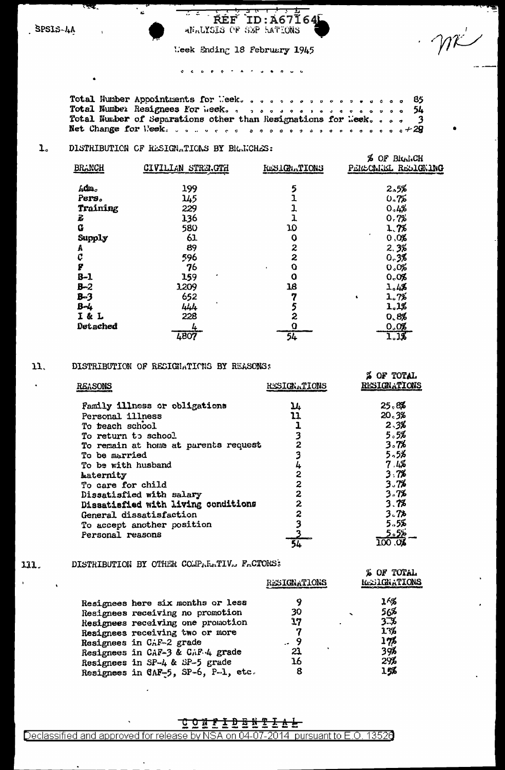$\overline{a}$ 

### उट **ŔÉF**  $ID: A67I64I$ ANALYSIS OF SEP HATIONS

Week Ending 18 February 1945

Total Number Appointments for Meek. . . . . . . . . . . . . . . . . . 85  $54$  $\bullet$ Total Number of Separations other than Resignations for Meek..  $\pmb{\circ}$  $\bullet$  $c + 29$  $\bullet$  $\ddot{\bullet}$ 

 $\overline{\mathbf{3}}$ 

**A OF POPAL** 

 $\overline{a}$ 

### ı. DISTRIBUTION OF RESIGNATIONS BY BRANCHES:

| <b>BRANCH</b> | CIVILIAN STRERGTH | <b>RESIGNATIONS</b> | % OF Blud.CH<br>PERSONIEL RESIGNING |
|---------------|-------------------|---------------------|-------------------------------------|
| $f_i$ dm.     | 199               | 5                   | 2.5%                                |
| Pers.         | 145               |                     | 0.75                                |
| Training      | 229               | 1                   | 0.4%                                |
| ī.            | 136               |                     | 0.7%                                |
| $\bf G$       | 580               | 10                  | 1.7%                                |
| Supply        | 61                | Q                   | 0,0%                                |
| A             | 89                | 2                   | 2.3%                                |
| Ç             | 596               | 2                   | 0.3%                                |
| g             | 76                | O<br>$\blacksquare$ | 0.0%                                |
| $B-1$         | 159               | $\mathbf 0$         | 0.0%                                |
| $B - 2$       | 1,209             | 16                  | 1.4%                                |
| $B - 3$       | 652               | 7                   | 1.7%<br>4                           |
| $B-4$         | 444               | 5                   | 1.1%                                |
| I & L         | 228               | 2                   | 0.8%                                |
| Detached      | 彑                 | Ω                   | 0.0%                                |
|               | 4807              | 54                  | 1.1%                                |

#### 11. DISTRIBUTION OF RECIGNATIONS BY REASONS:

| REASONS                              | <b>RESIGNATIONS</b> | R VI LVLRU<br><b>RESIGNATIONS</b> |
|--------------------------------------|---------------------|-----------------------------------|
| <b>Family illness or obligations</b> | 14                  | 25.8%                             |
| Personal illness                     | 11                  | 20.3%                             |
| To teach school                      |                     | 2.3%                              |
| To return to school                  | 3                   | 5.5%                              |
| To remain at home at parents request | 2                   | 3.7%                              |
| <b>To be married</b>                 |                     | 5.5%                              |
| To be with husband                   | 4                   | 7.4%                              |
| Laternity                            | 2                   | 3.7%                              |
| To care for child                    | 2                   | 3.7%                              |
| Dissatisfied with salary             | $\overline{z}$      | 3.7%                              |
| Dissatisfied with living conditions  | $\mathbf{2}$        | 3.7%                              |
| General dissatisfaction              | 2                   | 3.7 <sub>b</sub>                  |
| To accept another position           |                     | 5.55                              |
| Personal reasons                     |                     | 5.5%                              |
|                                      |                     | $\overline{\rm oo}$<br>.OL        |

### DISTRIBUTION BY OTHER COMPARATIV. FACTORS: 111.

 $\mathcal{L}$ 

 $\ddot{\phantom{a}}$ 

|                                     | RESIGNATIONS | X OF TUTAL<br><b>ResiGNATIONS</b> |  |
|-------------------------------------|--------------|-----------------------------------|--|
| Resignees here six months or less   |              | 16%                               |  |
| Resignees receiving no promotion    | 30           | 56%                               |  |
| Resignees receiving one promotion   | 17           | 3.7                               |  |
| Resignees receiving two or more     |              | 13%                               |  |
| Resignees in CAF-2 grade            | 9            | $1\%$                             |  |
| Resignees in CAF-3 & CAF 4 grade    | 21           | 39%                               |  |
| Resignees in SP-4 & SP-5 grade      | 16           | 29%                               |  |
| Resignees in CAF-5, SP-6, P-1, etc. | 8            | 15%                               |  |
|                                     |              |                                   |  |

# <u>C O N E I D A N T I P 1</u>

# Declassified and approved for release by NSA on 04-07-2014 pursuant to E.O. 13526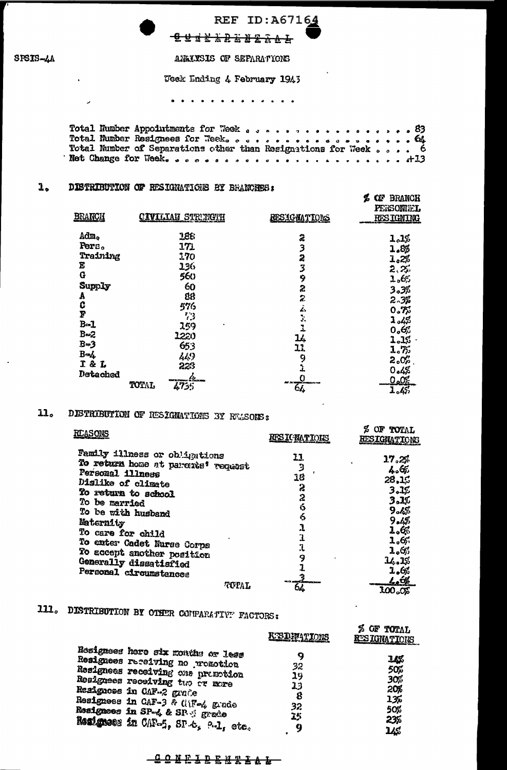

 $\mathbf{v}$ 

 $\overline{ }$ 

# REF ID: A67164 **GUNKALEALL**

ANALYSIS OF SEPARATIONS

Usek Ending 4 February 1945

. . . . . . . *. . .* . *.* .

 $\epsilon$  or BRANCH

المناسب المستور الأمر

### $\mathbf{1}_{\bullet}$ DISTRIBUTION OF RESIGNATIONS BY BRANCHES:

| <b>BRANCH</b> | <b>CIVILLAN STRUNGUH</b> | <b>RESIGNATIONS</b>     | PERSONIEL<br><b>RESIGNING</b> |
|---------------|--------------------------|-------------------------|-------------------------------|
| Adm.          | 186                      | $\ddot{\mathbf{z}}$     | 1.1%                          |
| Pers.         | 171                      | 3                       | 1.85                          |
| Training      | 170                      | 2                       | 1.2%                          |
| Ë             | 136                      | 3                       | 2.25                          |
| G             | 560                      | 9                       | 1.6%                          |
| Supply        | 60                       | 2                       | 3.3%                          |
| A             | 88                       | 2                       |                               |
|               | 576                      | Ŀ.                      | 2.3%                          |
| C<br>F        | 73                       | Ĵ,                      | 0.75                          |
| $B - 1$       | 259                      | 1                       | $\mathbf{1}_{o}$ 43           |
| $B = 2$       | 1220                     |                         | 0.65                          |
| $B=3$         | 653                      | 14                      | 1.1%                          |
| $B - L$       | 449                      | 11                      | 1.75                          |
| I & L         | 223                      | 9                       | 2.0 స                         |
| Detached      |                          |                         | 0.4%                          |
|               | . 42.<br>TOTAL           | <b>Contact Locustor</b> | <u>0.0%</u>                   |
|               | 4735                     | 64                      | 1.4%                          |

### DISTRIBUTION OF RESIGNATIONS BY REASONS:  $11<sub>o</sub>$

| Family illness or obligations<br>11.<br>17.2%<br>To return home at paroate' request<br>4.65<br>Personal illness<br>18<br>28,15<br>Dislike of climate<br>2<br>3.1%<br>To return to school<br>2<br>3.1%<br>To be married<br>6<br>\$∡9<br>To be with husband<br>6<br>9.4%<br>Maternity<br>1.6%<br>To care for child<br>1.6<br>To enter Cadet Nurse Corps<br>Ï,<br>1.65<br>To accept another position<br>9<br>14.1%<br>Generally dissatisfied<br>1.6%<br>Personal circumstances<br>$\mathcal{L}_e$ ol<br><b>ILD ANGELER COM</b><br>TOPAL | REASONS | <b>RFS IC NATIONS</b> | OF TOTAL<br>L<br>RESIGNATIONS |
|--------------------------------------------------------------------------------------------------------------------------------------------------------------------------------------------------------------------------------------------------------------------------------------------------------------------------------------------------------------------------------------------------------------------------------------------------------------------------------------------------------------------------------------|---------|-----------------------|-------------------------------|
|                                                                                                                                                                                                                                                                                                                                                                                                                                                                                                                                      |         | οć                    | $100o$ CE                     |

# 111. DISTRIBUTION BY OTHER COMPARATIVE FACTORS:

|                                                                                                                                                                                                                                                                                        | <b>KISTGFATIONS</b>                  | 2 OF TOTAL<br><b>RESIGNATIONS</b>                    |
|----------------------------------------------------------------------------------------------------------------------------------------------------------------------------------------------------------------------------------------------------------------------------------------|--------------------------------------|------------------------------------------------------|
| Resignees here six months or less<br>Resignees receiving no pronotion<br>Resignees receiving one promotion<br>Resignees receiving two or more<br>Resignees in CAF-2 grade<br>Resignees in CAF-3 & CiF-4 grade<br>Resignees in SP-4 & SP 9 grade<br>Resignees in CAP-5, SP-6, 9-1, etc. | 32<br>29<br>13<br>8<br>32<br>15<br>Q | 148<br>50%<br>30%<br>20%<br>13%<br>50%<br>235<br>1/6 |

# **CONEIBENT&L**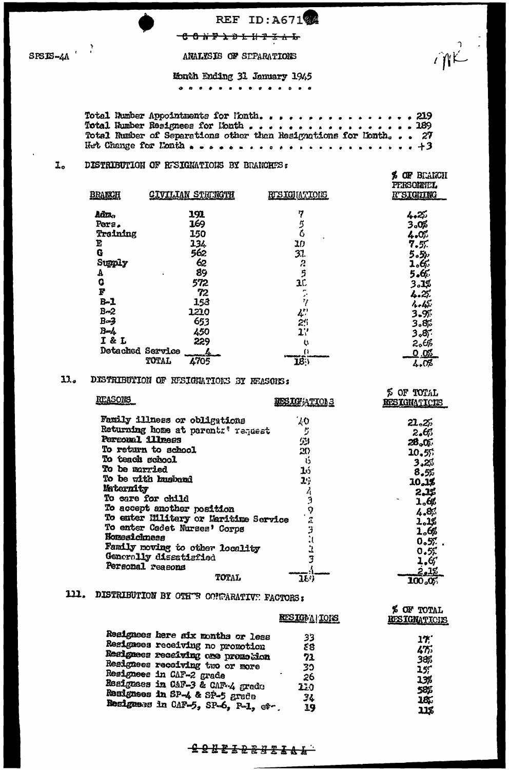# REF ID:A671

 $\hat{W}$ 

**% OF BEARCH** 

 $\ell$   $\sim$   $\alpha$   $\sim$ 

 $- C O N F \lambda D + H T \ddot{x} A L$ 

ANALYSIS OF SEPARATIONS

# Month Ending 31 January 1945

. . . **. . . . . . .** . . . .

### DISTRIBUTION OF RESIGNATIONS BY BRANCHES:  $I<sub>o</sub>$

| <b>BRANCH</b>    | <u>CIVILIAN STRENGTH</u>    | <b>RUSIGHATIONS</b> | <b>PERSONNEL</b><br><b>R'SIGNING</b> |
|------------------|-----------------------------|---------------------|--------------------------------------|
| Ada.             | 191                         | 7                   | 4.2%                                 |
| Pers.            | 169                         | 5                   | 3.0%                                 |
| Training         | 150                         | $\ddot{\circ}$      | 4.0%                                 |
| Έ                | 134                         | 20                  | 7.5 <sub>1</sub>                     |
| G                | 562                         | 31.                 | うっちゃ                                 |
| Supply           | 62                          | 2                   | 1.65                                 |
| А                | 89                          | 5                   | 5.6%                                 |
| G                | 572                         | 10                  | 3.1%                                 |
| P                | 72                          | ∼                   | 4.25.                                |
| $B-1$            | 153                         | 11                  | 4.45                                 |
| $B-2$            | 1210                        | 4                   | $3 - 9$                              |
| B <sub>o</sub>   | 653                         | 21                  | 3.8%                                 |
| $B - L$          | 450                         | יב                  | 3.87                                 |
| I & L            | 229                         | U,                  |                                      |
| Detached Service |                             | "                   | 2.65                                 |
|                  | uraa xirin<br>4705<br>TOTAL | <b>LIGATIONSHIP</b> | <u>೦.೦ೱ</u>                          |
|                  |                             | 183                 | 4.0%                                 |

### $13<sub>a</sub>$ DISTRIBUTION OF RESIGNATIONS BY REASONS:

| <b>REASONS</b>                        | <b>RESIGNATIONS</b> | OF TOTAL<br>RESIGNATIONS |
|---------------------------------------|---------------------|--------------------------|
| Family illness or obligations         | 70                  | 21.27                    |
| Returning home at parent:' request    | ŋ                   | 2.65                     |
| Personal illness                      | أذوا                | 28.0F                    |
| To return to school                   | 20                  | 20.5%                    |
| To teach school                       | 15                  | 3.2%                     |
| To be married                         | ئىلا                | 8,5%                     |
| To be with busined                    | 29                  | 10,1%                    |
| Maternity                             |                     | 2.1%                     |
| To care for child                     |                     | 1,62                     |
| To accept another position            | ၇                   |                          |
| To enter Hilitary or Maritime Service | Ĵ.                  | 4.87                     |
| To enter Cadet Nurses' Corps          |                     | 1.1%                     |
| <b>Horseichness</b>                   |                     | 1.68                     |
| Family moving to other locality       |                     | $0.57$ .                 |
| Generolly dissatisfied                |                     | 0.52                     |
| Personal reasons                      |                     | 1.67                     |
| TOTAL                                 | 1E)                 | 2,1%<br>100.05           |

# 111. DISTRIBUTION BY OTHER CONDARATIVE FACTORS:

|                                    | RESIGNA   IOIS | A VE IVIND<br>RESIGNATIONS |
|------------------------------------|----------------|----------------------------|
| Resignees here six months or less  | 33             | 17                         |
| Resignees receiving no promotion   | 88             | ሬኧ                         |
| Resignees receiving are promotion  | 71             | 38\$                       |
| Resignees receiving two or more    | 33             | $25^\circ$                 |
| Resignees in CAF-2 grade           | 26             | 13%                        |
| Resignees in CAF-3 & CAF-4 grade   | 220            | 585                        |
| Resignees in SP-4 & SP-5 grade     | 34             | 185                        |
| Resigness in CAF-5, SP-6, P-1, et- | 19             | 118                        |

## <del>1988322321AL</del>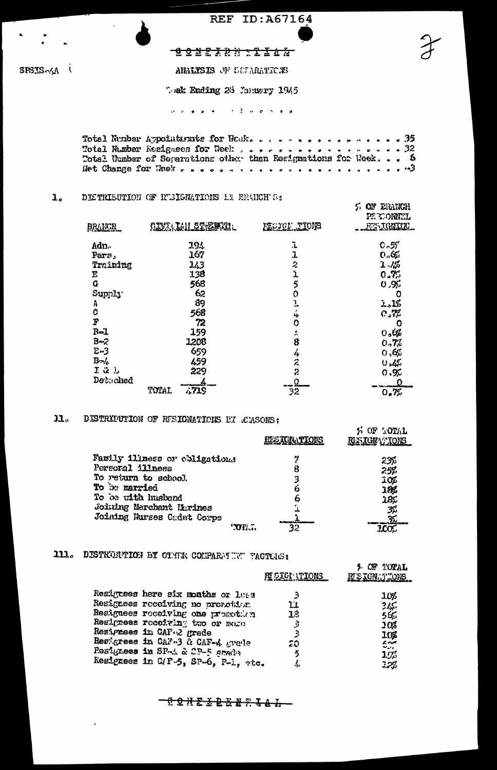**REF ID: A67164** 

## $SHS - \Lambda$

# **BONEXAN STIAN**

ANALYSIS OF LULARATICIS

Wek Ending 26 January 1945

Total Number Appointments for Works . . . . . . . . . . . . . . 35 Het Change for Wask research received a conservation of the

 $5$  or eranch

#### $1<sub>o</sub>$ DISTRIBUTION OF HUBIGMATIONS AN ERANCHUS:

| BRAHCH                  | <b>CIVILLE LE STREMETE L</b> | <b>REGION TIONS</b>     | PERONNEL<br>RESIGNINIC. |
|-------------------------|------------------------------|-------------------------|-------------------------|
| Adn.                    | 194                          | 1                       | $C - 57$                |
| Pers,                   | 167                          | 1                       | 0.62                    |
| Training                | 143                          | 2                       | $1 - 15$                |
| E                       | 138                          | Ĵ,                      | 0.7%                    |
| $\overline{\mathbf{G}}$ | 568                          | 5                       | 0, 9/2                  |
| Supply                  | 62                           | Ó                       |                         |
| A                       | 89                           | l.                      | 2.1%                    |
| Ċ                       | 568                          | 4                       | $C_{\alpha}$            |
| $\overline{F}$          | 72                           | 0                       |                         |
| $R - 1$                 | 159                          | A                       | $v_{\circ}$ 6%          |
| B <sub>2</sub>          | 1208                         | 8                       | 0.77                    |
| $E-3$                   | 659                          | 4                       | 0.65                    |
| $B-1$                   | 459                          | Ż                       | U, Z                    |
| $I \cong J$             | 229                          | $\overline{\mathbf{z}}$ | 0.92                    |
| Detached                |                              | .ହ                      | <u>_0</u>               |
|                         | 4719<br>TOTAL                | $\overline{32}$         | 0.7%                    |

### DISTRIPUTION OF RESIGNATIONS EX & MSONS:  $\mathbf{J}$ .

|                                 | <b>ELSIGATIONS</b> | S OF TOTAL<br><b>RESIGNATIONS</b> |
|---------------------------------|--------------------|-----------------------------------|
| Family illness or coligations   |                    | 235                               |
| Personal illness                | 8                  | 25%                               |
| To return to school.            | 3                  | 10%                               |
| To be married                   | Ġ                  | 10%                               |
| To be with husband              | b                  | 185                               |
| <b>Joining Merchant Harines</b> |                    | په                                |
| Joining Hurses Cadet Corps      |                    | 翌                                 |
| "OP                             |                    |                                   |

# 111. DISTRIBUTION BY OTHER COMPARE WAT TACTURS:

|                                     | <b>PIE SIGI ATIONS</b> | OF TOTAL<br>RUSICNATIONS |
|-------------------------------------|------------------------|--------------------------|
| Resignees here six months or leas   | -1                     | 10%                      |
| Resignees receiving no pronotivn    | ľι                     | 345                      |
| Resignees receiving one promotion   | 13                     | 565                      |
| Realgees receiving two or mose      | 3                      | <b>10%</b>               |
| Resignees in CAF.2 grade            |                        | 10%                      |
| Resignees in CAF-3 & CAF-4 grade    | ۵Ó                     | بمندح                    |
| Resignees in SP-A & CP-5 smade      | 5                      | $\sim$ $\sim$<br>$1.5\%$ |
| Resignees in C/F-5, SP-6, P-1, etc. | 4,                     | 12%                      |

\_<del>0 Q X & & Q & & ? & & & \_</del>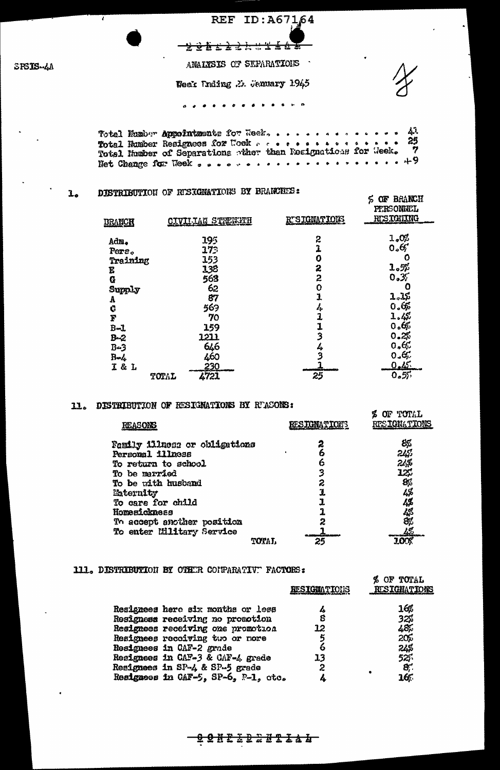REF ID: A67164 <del>221.22. . . . 168</del> ANALYSIS OF SEPARATIONS Week Unding .3. Sanuary 1945 . . **. . . . . . . . .** . . .

 $\mathbf{A}^{\mathbf{1}}$ Totel Humber Appointments for Wesk, . . . . . . . . . . . . . . 25  $\dot{7}$ 

### DISTRIBUTION OF RESIGNATIONS BY BRANCHES:  $\mathbf{L}_0$

| <b>BRANCH</b> | CIVILLAN STRENGTH | RTSIGNATIONS   | <b>PERSONNEL</b><br><b>RUSICILING</b> |
|---------------|-------------------|----------------|---------------------------------------|
| Adm.          | 195               | 2              | 1.0%                                  |
| Pers.         | 173               | 1              | 0.67                                  |
| Training      | 153               | 0              |                                       |
| E             | 138               | 2              | $\mathbf{1.5}$                        |
| G             | 563               | 2              | 0.37                                  |
| Supply        | 62                | O              | O                                     |
| A             | 87                | 1              | 1.1%                                  |
| Ġ             | 569               | Ą.             | 0.65                                  |
| F             | 70                | $\overline{1}$ | 1.4%                                  |
| $B - 1$       | 159               | 1              | 0.6%                                  |
| $B - 2$       | 1211              | $\mathbf{3}$   | 0.25                                  |
| $B - 3$       | 646               | 4              | 0.65                                  |
| $R - L$       | 460               | 3              | 0.6,                                  |
| I&L           | 230.              |                | 0.45                                  |
|               | 4721<br>TOTAL     | 25             | 0.57                                  |

**S OF BRANCH** 

% OF TOTAL

### 11. DISTRIBUTION OF RESIGNATIONS BY RUASONS:

| <b>REASONS</b>                | <b>RESTONATIONS</b> | RESIGNATIONS |
|-------------------------------|---------------------|--------------|
| Family illnoss or obligations | 2                   | 8%           |
| Personal illness              | 6                   | 243          |
| To return to school           | 6                   | 24\$         |
| To be married                 | 3                   | 12%          |
| To be with husband            | 2                   | 86           |
| <b>Eaternity</b>              | 1                   | 4%           |
| To care for child             |                     | 4%           |
| Homesickness                  |                     |              |
| To accept another position    | 2                   | 4%<br>8%     |
| To enter Ellitary Service     |                     | -42          |
| <b>TOTAL</b>                  | 25                  |              |

### 111. DISTRIBUTION BY OTHER CONPARATIVE FACTORS:

|                                     | <b>RESIGNATIONS</b> | % OF TOTAL<br>RUSIGNATIONS |
|-------------------------------------|---------------------|----------------------------|
| Resignees here six months or less   |                     | 16%                        |
| Resigness receiving no promotion    | 8                   | 32%                        |
| Resignees receiving one promotion   | 12                  | 48.                        |
| Resignees receiving two or nore     | 5                   | 20%                        |
| Resignees in CAF-2 grade            |                     | 24%                        |
| Resignees in CAF-3 & CAF-4 grade    | 13                  | 525.                       |
| Resignees in SP-4 & SP-5 grade      | 2                   | 8,                         |
| Resignees in CAF-5, SP-6, P-1, ctc. |                     | 16.                        |

<del>Q Q N E ∑ Q 2 U Z Z & & T</del>

SPSIS-4A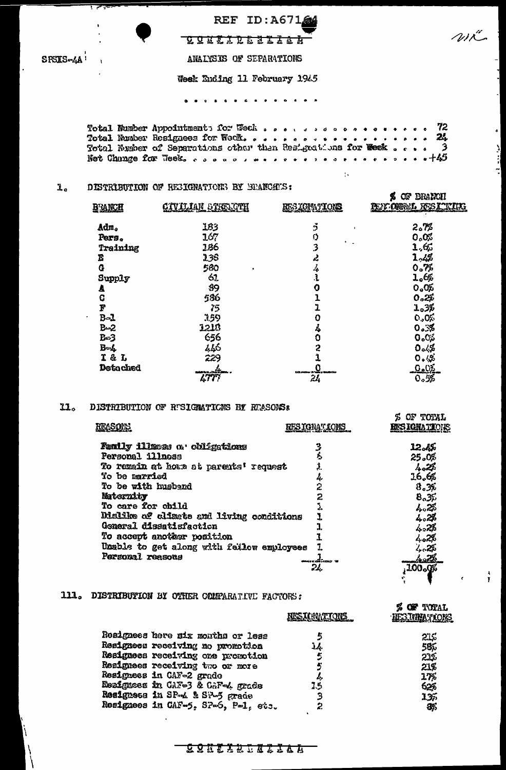SPSIS-4A!

▽

REF ID: A67164 <u> 893810538344</u>

 $\omega\tilde{c}$ 

اد<br>أن

"

ANALYSIS OF SEPARATIONS

Week Ending 11 February 1945

. . . . . . . . . . . . . . .

Total Number Appointment: for Weck , , , , , , , , , , , , , , , 72  $\bullet$  $\frac{2l}{3}$ Not Change for Week, cooperative areas perceived  $. 45$ 

 $\mathbf{1}$  .

#### $\mathbf{I}$ . DISTRIBUTION OF RESIGNATIONS BY ERANCHES:

| <b>B'ANCH</b> | <b>GIVILIAN STREAGTH</b> | <u>RESIGNATIONS</u>                    | <b>BRANCH</b><br>Œ<br>PENTOWNEL RESITTING |
|---------------|--------------------------|----------------------------------------|-------------------------------------------|
| Adm.          | 183                      | 5<br><b>n</b>                          | 2.7%                                      |
| Pers.         | 167                      | O                                      | ೦್ಯ೦ಬ                                     |
| Training      | 186                      | 3                                      | 1,65                                      |
| B             | 138                      | پر                                     | 1.4%                                      |
| Ġ             | 580                      | 4                                      | 0.75                                      |
| Supply        | 67.                      | J.                                     | 1.6%                                      |
| A             | 89                       | 0                                      | 0.0%                                      |
| Ç             | 586                      |                                        | 0.25                                      |
| P             | 75                       | 1                                      | 1.3%                                      |
| $B-1$         | 159                      | 0                                      | 0.0%                                      |
| $B - 2$       | 1216                     | 4                                      | 0.3%                                      |
| B=3           | 656                      | 0                                      | $O_{\phi}O_{\rho}^{\vee}$                 |
| $B=4$         | 446                      | 2                                      | 0.4%                                      |
| I & L         | 229                      |                                        | 0.4%                                      |
| Detached      | er Stan                  | <b>Litt maker it was a time to the</b> | $\Omega_{\rm e}$                          |
|               | <b>LTT</b>               | 24                                     | 0.55                                      |

### $11<sub>o</sub>$ DISTRIBUTION OF RESIGNATIONS BY REASONS:

| REASONS                                                                                                                                                                                                                                                                                                                                          | RESIGNAY IONS                                   | OF TOTAL<br><b>EES IGNATIONS</b>                                                                                            |
|--------------------------------------------------------------------------------------------------------------------------------------------------------------------------------------------------------------------------------------------------------------------------------------------------------------------------------------------------|-------------------------------------------------|-----------------------------------------------------------------------------------------------------------------------------|
| Family illness or chifgations<br>Personal illnoss<br>To remain at home at parents' request<br><b>To be married</b><br>To be with husband<br>Maternity<br>To care for child<br>Dialike of alimate and living conditions<br>General dissatisfaction<br>To accept another position<br>Unable to get along with failow employees<br>Personal reasons | 3<br>£,<br>1<br>4.<br>2<br>2<br>ucaine a<br>24. | 12.45<br>25.0%<br>4.25<br>16.6%<br>8.3%<br>8.35<br>h. 2%<br>4.2%<br>4=28<br>402%<br>نكبر بركم<br>28ء کی<br>100 <sub>o</sub> |
|                                                                                                                                                                                                                                                                                                                                                  |                                                 |                                                                                                                             |

## 111. DISTRIBUTION BY OTHER COMPARATIVE FACTORS:

|                                     | <b>NESTANATIONS</b> | <b>S OF TOTAL</b><br>HESTONATIONS |
|-------------------------------------|---------------------|-----------------------------------|
| Resignees here six months or less   |                     | 21%                               |
| Resignees receiving no promotion    | 14.                 | 58%                               |
| Resignees receiving one promotion   | 5                   | 21%                               |
| Resignees receiving two or more     |                     | 21%                               |
| Resignees in CAF-2 grade            | z,                  | $1\%$                             |
| Reaigness in CAF-3 & CAF-4 grade    | 75                  | 62%                               |
| Resigness in SP-4 & SP-5 grade      | ٦                   | 135                               |
| Resignees in CAF-5, SP-6, P-1, ets. |                     | 85                                |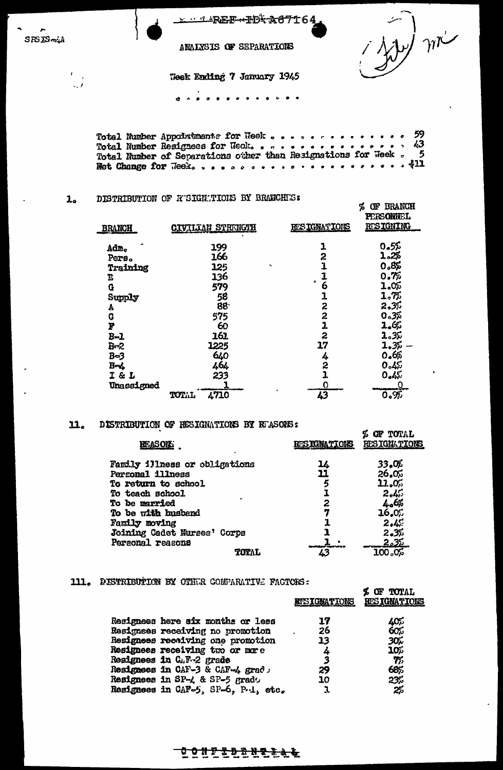| SPSD-4A |  |
|---------|--|

 $\epsilon_{\rm{max}}$ 

 $\sim$ 

 $\eta r$ 

% OF BRANCH

ANALYSIS OF SEPARATIONS

**Teek Ending 7 January 1945** 

. . . . **. . . . .** . . . .

Total Number Appoixtments for Neek . . . . . . . .  $\frac{59}{43}$  $\bullet$ 5 

#### DISTRIBUTION OF RESIGNATIONS BY BRANCHES:  $2<sub>o</sub>$

| <b>BRANCH</b> | <b>CIVILIAN STRENGTH</b> | <b>RESIGNATIONS</b>     | <b>PERSONNEL</b><br><b>RESIGNING</b> |
|---------------|--------------------------|-------------------------|--------------------------------------|
|               |                          |                         |                                      |
| Adm.          | 199                      |                         | 0.55                                 |
| Pers.         | 166                      | 2                       | 1.2%                                 |
| Training      | 125<br>٠                 |                         | 0.8%                                 |
| Ŀ             | 136                      |                         | 0.7%                                 |
| G             | 579                      | 6                       | 1.05                                 |
| Supply        | 58                       | 1                       | 1.7%                                 |
| A             | 88.                      | 2                       | 2.3%                                 |
| C             | 575                      | 2                       | 0.3%                                 |
| P             | 60                       | $\overline{\mathbf{1}}$ | 1.65                                 |
| $B - I$       | 161                      | 2                       | 2.3%                                 |
| $B-2$         | 1225                     | 17                      | 1.3%                                 |
| $B=3$         | 640                      | 4                       | 0.6%                                 |
| $B - L$       | 464                      | 2                       | 0.45                                 |
| I & L         | 233                      | 1                       | 0.45                                 |
| Unassigned    |                          | 0                       |                                      |
|               | 4710<br>TOTAL            | 43                      | 0.97                                 |

### 11. DISTRIBUTION OF RESIGNATIONS BY REASONS:

| <b>REASONS</b>                | <b>RESIGNATIONS</b> | OF TOTAL<br>RESIGNATIONS |
|-------------------------------|---------------------|--------------------------|
| Family illness or obligations | 14                  | 33,06                    |
| Personal illness              | 11                  | 26.0%                    |
| To return to school           |                     | 11.0%                    |
| To teach school               |                     | 2.45                     |
| <b>To be married</b>          | 2                   | 4.6%                     |
| To be with husband            |                     | 16.0%                    |
| Family moving                 |                     | 2.45                     |
| Joining Cadet Nurses' Corps   |                     | 2.35                     |
| Personal reasons              |                     | 2.35                     |
| TOTAL                         |                     | 100,05                   |

### 111. DISTRIBUTION BY OTHER COMPARATIVE FACTORS:

|                                     | <b>RTSIGNATIONS</b> | <b>UP TUTAL</b><br><b>RESIGNATIONS</b> |
|-------------------------------------|---------------------|----------------------------------------|
| Resignees here six months or less   | 17                  | 405                                    |
| Resignees receiving no promotion    | 26                  | 60%                                    |
| Resignees receiving one promotion   | 13                  | 30K                                    |
| Resignees receiving two or more     | 4                   | 10%                                    |
| Resignees in C.F.-2 grade           | 3                   | $\gamma_{\scriptscriptstyle\! D}$      |
| Resignees in CAF-3 & CAF-4 grad     | 29                  | 68%                                    |
| Resignees in SP-4 & SP-5 grado      | 10                  | 23%                                    |
| Resignees in CAF-5, SP-6, P.1, etc. |                     | 2%                                     |

<u>CONFIDENTILL</u>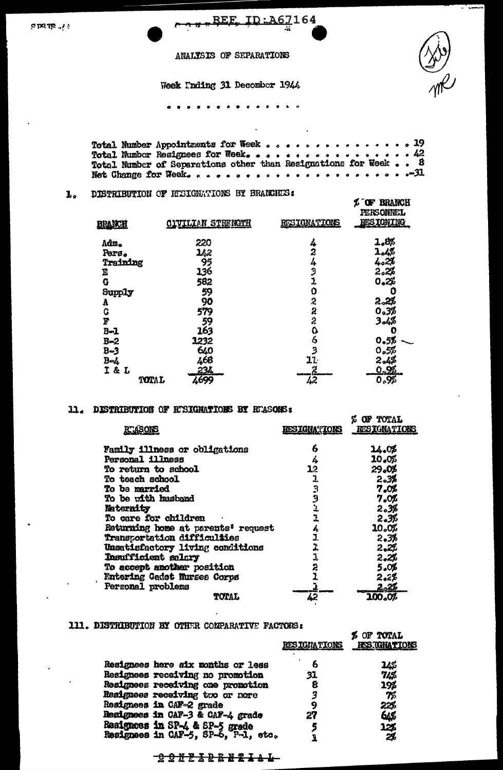enere ...

<u>REF</u> <u>ID:A67164</u>

ANALYSIS OF SEPARATIONS

Week Inding 31 December 1944

. . . . . . . . . *. .* . . .

 $.19$ Total Number Appointments for Week . . . . . . . . . .  $\bullet$ 42 Total Number Resignees for Week, . . . . . . . . . . . . . .  $\overline{\mathbf{B}}$ Total Number of Separations other than Resignations for Week..  $-31$ 

L OF BRANCH

**CON BOULT** 

### DISTRIBUTION OF REGIGNATIONS BY BRANCHES:  $\mathbf{L}_2$

| BRANCH         | <b>CIVILIAN STRENCTH</b> | RESIGNATIONS | PERSONNEL<br><b>RESIGNING</b> |
|----------------|--------------------------|--------------|-------------------------------|
| Adm.           | 220                      | 4            | 1.8%                          |
| Pers.          | 142                      | 2            | 4%ء1                          |
| Training       | 95                       | 4            | 4.2%                          |
| Ē              | 136                      | Э            | 2.2%                          |
| G              | 582                      | 1            | 0.2%                          |
| Supply         | 59                       | 0            |                               |
| Å              | 90                       | 2            | 2.2%                          |
| G              | 579                      | 2            | 0.3%                          |
| F              | 59                       | $\hat{z}$    | 3,4%                          |
| $B-1$          | 163                      | ٥            |                               |
| $B = 2$        | 1232                     | 6            | 0.5%                          |
| $B-3$          | 640                      | Э            | 0,5%                          |
| $B-4$          | 468                      | 11.          | 2.4%                          |
| <b>I&amp;L</b> | 234                      |              | <u>o.X</u>                    |
| TOTAL          | 4699                     | 42           | 0.95                          |

### 11. DISTRIBUTION OF RISIGNATIONS BY RIASONS:

| <b>RTASONS</b>                     | <b>BESIGNATIONS</b> | <b>Z OF TOTAL</b><br><b>RESIGNATIONS</b> |
|------------------------------------|---------------------|------------------------------------------|
| Family illness or obligations      | 6                   | 14.05                                    |
| Personal illness                   | 4                   | 10.0%                                    |
| To return to school                | 13                  | 29.08                                    |
| To teach school                    | 1                   | 2.3%                                     |
| <b>To be married</b>               |                     | 7.0%                                     |
| To be with husband                 | در در در            | 7.0L                                     |
| Naternity                          |                     | 2.3%                                     |
| To care for children               | ı                   | 2.3%                                     |
| Returning home at parents' request | 4                   | 10.0%                                    |
| <b>Transportation difficulties</b> | J.                  | 2.3%                                     |
| Unsatisfactory living conditions   | 1                   | 2,22                                     |
| Insufficient salary                | 1                   | 2,2%                                     |
| To accept another position         | 2                   | 5.0%                                     |
| Entering Gadot Nurses Corps        |                     | 2.zL                                     |
| Personal problems                  |                     | <u>2.26</u>                              |
| TOTAL                              | 42                  | 100.0%                                   |

## 111. DISTRIBUTION BY OTHER COMPARATIVE FACTORS:

|                                                                       | <b>RESIGNATIONS</b> | R AR TATUM<br>RES.TGHATIONS |
|-----------------------------------------------------------------------|---------------------|-----------------------------|
| Resignees here aix months or less                                     | Đ                   | 145                         |
| Resignees receiving no promotion                                      | 31                  | 74\$                        |
| Resignees receiving one promotion                                     | 8                   | 19\$                        |
| Resignees receiving two or nore                                       |                     | 75                          |
| Resignees in CAF-2 grade                                              | 9                   | 22%                         |
| Resignees in CAF-3 & CAF-4 grade                                      | 27                  | 645                         |
|                                                                       |                     | 12%                         |
| Resignees in SP-4 & SP-5 grade<br>Resignees in CAF-5, SP-6, P-1, etc. |                     | 2%                          |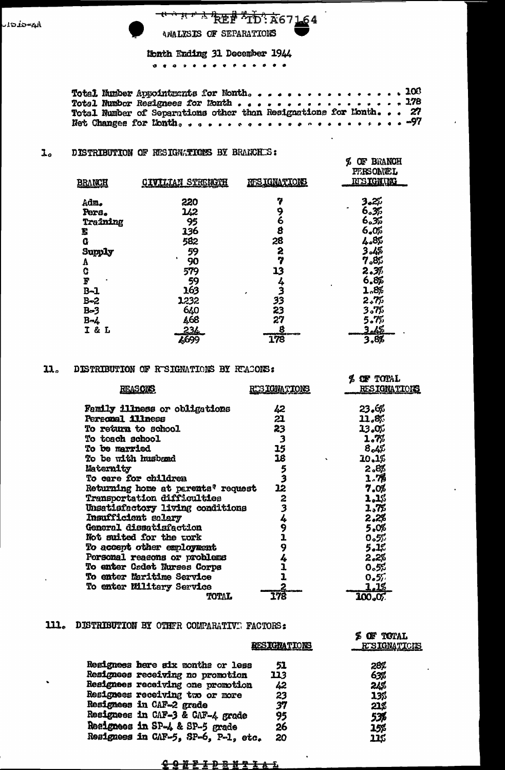**WHAT REF TD: A67164** ANALYSIS OF SEPARATIONS

 $\epsilon$ 

Nonth Ending 31 December 1944 

Total Number of Separations other than Resignations for Lonth... 27 

#### $\mathbf{I}_{o}$ DISTRIBUTION OF RESIGNATIONS BY BRANCHES:

| <b>BRANCH</b>       | <u>CIVILLAN STRENCTH</u> | <b>RESIGNATIONS</b> | OF BRANCH<br>Ъ<br>PERSONTEL<br><b>RESIGNANG</b> |
|---------------------|--------------------------|---------------------|-------------------------------------------------|
| Adm.                | 220                      | 7                   | 3.2%                                            |
| Pers.               | 142                      | 9<br>6              | 6.3%                                            |
| Training            | 95                       |                     | 6.33                                            |
| E                   | 136                      | g                   | 6.0%                                            |
| G                   | 582                      | 28                  | 4.8%                                            |
| Supply              | 59                       | 2                   | 4% 3                                            |
| A                   | 90                       | 7                   | 7.8%                                            |
| ¢                   | 579                      | 13                  | 2.3%                                            |
| F                   | 59                       |                     | 6.8%                                            |
| $B - 1$             | 163                      | 4<br>3<br>٠         | ٠<br>1.8%                                       |
| $B=2$               | 1232                     | 33                  | 2.7%                                            |
| Be3                 | 640                      | 23                  | 3.7%                                            |
| $B - L$             | 4,68                     | 27                  | 5.7%                                            |
| 2 <sub>1</sub><br>L | 234                      | 8                   | <u> 2.4%</u>                                    |
|                     | 4699                     | a serves<br>178     | 3.8%                                            |

#### $\mathbf{n}_o$ DISTRIBUTION OF RESIGNATIONS BY REACONS:

|                                                |                     | OF TOTAL            |
|------------------------------------------------|---------------------|---------------------|
| <b>REASONS</b>                                 | <u>RUSIGNATIONS</u> | <b>RESIGNATIONS</b> |
| Family illness or obligations                  | 42                  | 23.6%               |
| <b>Personal illness</b>                        | 21                  | 11.8%               |
| To return to school                            | 23                  | 13.OT               |
| To teach school                                | 3                   | 1.7%                |
| To be married                                  | 15                  | $8_{o4}$ %          |
| To be with husband                             | 18                  | 10.1%               |
| Maternity                                      |                     | 2.8%                |
| To care for children                           | うろ                  | 1.78                |
| Returning home at parents <sup>?</sup> request | 12                  | 7.0%                |
| <b>Transportation difficulties</b>             |                     | 1,1%                |
| Unsatisfactory living conditions               | $\frac{2}{3}$       | 1,7%                |
| <b>Insufficient salary</b>                     | 4                   | 2.2%                |
| General dissatisfaction                        | 9                   | 5.0%                |
| Not suited for the mork                        |                     | 0.5%                |
| To accept other employment                     | 9                   | 5.1%                |
| Porsonal reasons or problems                   | 4                   | 2.2%                |
| To enter Cadet Nurses Corps                    |                     | 0.5%                |
| <b>To enter Maritime Service</b>               |                     | 0.57                |
| To enter Military Service                      | 2                   | <u>1.1%</u>         |
| TOTAL                                          | 178                 | 100.07              |

## 111. DISTRIBUTION BY OTHER COMPARATIVE FACTORS:

|                                     | RESIGNATIONS | OF TOTAL<br>RESIGNATIONS |
|-------------------------------------|--------------|--------------------------|
| Resignees here six months or less   | 51           | 28%                      |
| Resignees receiving no promotion    | 113          | 63%                      |
| Resignees receiving one promotion   | 42           | 24%                      |
| Resignees receiving two or more     | 23           | 13%                      |
| Resignees in CAF-2 grade            | 37           | 21%                      |
| Resignees in CAF-3 & CAF-4 grade    | 95           | 53%                      |
| Resignees in SP-4 & SP-5 grade      | 26           | 15\$                     |
| Resignees in CAF-5, SP-6, P-1, etc. | 20           | 11¢                      |

### <u>የអ្នកទីទី១ គេទីទី</u>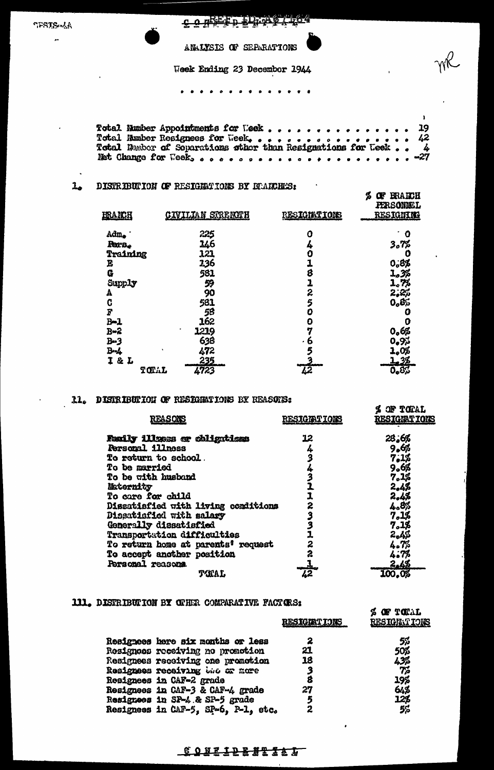**SPSTS-AA** ÷.

# CONSEED PLAY / 164

ANALYSIS OF SEPARATIONS

Week Ending 23 December 1944

. . . *. . . .* . . . . . *.* .

Total Number Appointments for Week . . . . . . . 19  $\bullet$  $\bullet$ 42 4 Net Change for Week, ................... -27

 $\mathbf{I}$ 

### $\mathbf{L}_{\mathbf{a}}$ DISTRIBUTION OF RESIGNATIONS BY BRANCHES:

| HRANCH           | <u>CIVILIAN STRENCTH</u> | <b>RESIGNATIONS</b> | \$<br><b>ERAKCH</b><br>œ<br><b>PERSONNEL</b><br><b>RESIGNITE</b> |
|------------------|--------------------------|---------------------|------------------------------------------------------------------|
| Adm.             | 225                      | 0                   | O                                                                |
| <b>Reco.</b>     | 146                      | 4                   | 3.7%                                                             |
| Training         | 121                      | Û                   | Ο                                                                |
| E                | 136                      |                     | 0,8%                                                             |
| G                | 581                      | 8                   | 1.3%                                                             |
| Supply           | 59                       | 1                   | 1.7%                                                             |
| А                | 90                       | 2                   | 2,2%                                                             |
| C                | 581                      | 5                   | 0.85                                                             |
| F                | 58                       | 0                   |                                                                  |
| $B-1$            | 162                      | O                   | O                                                                |
| <b>B=2</b>       | 1219                     | 7                   | 0.6%                                                             |
| $B - 3$          | 638                      | $\bullet$           | 0.9%                                                             |
| $B - 4$          | 472                      | 5                   | 1.0%                                                             |
| <b>I &amp; L</b> | 235                      |                     | <u>1,3%</u>                                                      |
| TOTAL            | 4723                     | 42                  | 0.8%                                                             |

# 11. DISTRIBUTION OF RESIGNATIONS BY REASONS:

| <b>REASONS</b>                      | <b>RESIGIATIONS</b> | <b><i>&amp; OF TORAL</i></b><br><b>RESIGNATIONS</b> |
|-------------------------------------|---------------------|-----------------------------------------------------|
| Family illuoss or obligations       | 12                  | 28.6%                                               |
| <b>Personal illness</b>             | 4                   | 9.6%                                                |
| <b>To return to school</b> .        | 3                   | 7.1%                                                |
| <b>To be married</b>                |                     | 9.6%                                                |
| To be with husband                  |                     | 7.1%                                                |
| Maternity                           |                     | 2.4%                                                |
| To care for child                   |                     | 2,4%                                                |
| Dissatisfied with living conditions | 2                   | 4.8%                                                |
| Dissatisfied with salary            | 3                   | 7.15                                                |
| Generally dissatisfied              |                     | 7.1%                                                |
| Transportation difficulties         | 1                   | 2.4%                                                |
| To return home at parents' request  | 2                   | 4.7%                                                |
| To accept another position          | 2                   | 4.7%                                                |
| Personal reasons.                   |                     | 2.4%                                                |
| TIMAL                               | 42                  | 100.0%                                              |

# 111. DISTRIBUTION BY OFHER COMPARATIVE FACTORS:

|                                     | <b>RESIGIATIONS</b> | S OF TOTAL<br><b>RESIGNATIONS</b> |
|-------------------------------------|---------------------|-----------------------------------|
| Resignees here six months or less   |                     | 5%                                |
| Resignees receiving no promotion    | 21                  | 50%                               |
| Resignees receiving one promotion   | 18                  | 43%                               |
| Resignees receiving the or nore     |                     | 7%                                |
| Resignees in CAF-2 grade            |                     | 19%                               |
| Resignees in CAF-3 & CAF-4 grade    | 27                  |                                   |
|                                     | 5                   | 12\$                              |
| Resignees in CAF-5, SP-6, P-1, etc. |                     | 5%                                |
| Resignees in SP-4.& SP-5 grade      |                     | 64%                               |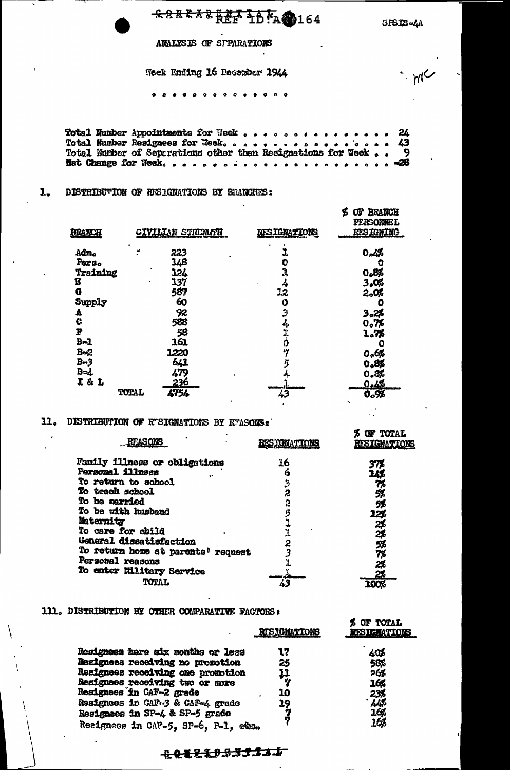**SANE 5BREF TD-A@164** 

SPSIS-4A

me

ANALYSIS OF STPARATIONS

Week Ending 16 December 1944

### . . . . . . . . . . . . . .

Total Number Appointments for Week . . . . . . . 24  $\bullet$ 43  $\ddot{\mathbf{9}}$ Net Change for Week, ..................... -28  $\bullet$ 

#### DISTRIBUTION OF RESIGNATIONS BY BRANCHES:  $\mathbf{L}_{\bullet}$

|                |                          |                     | <b>BRANCH</b><br>Œ<br>Б<br>PERSONNEL |
|----------------|--------------------------|---------------------|--------------------------------------|
| <b>BRANCH</b>  | <u>CIVILIAN STRENGTH</u> | <b>RESIGNATIONS</b> | <b>RESIGNING</b>                     |
| Adm.           | 223                      |                     | 0.4%                                 |
| Pers.          | 148                      | O                   |                                      |
| Training       | 124                      | J,                  | 0.8%                                 |
| ß              | 137                      | 4                   | 3.0%                                 |
| Ġ              | 587                      | 12                  | 2.0%                                 |
| Supply         | 60                       | 0                   |                                      |
| A              | 92                       | Э                   | 3.2%                                 |
| Ġ              | 588                      | 4                   | 0.7%                                 |
| F              | 58                       | ı<br>Ö              | 1.7%                                 |
| $B-1$          | 161                      |                     | O                                    |
| B <sub>2</sub> | 1220                     | 47                  | 0.6%                                 |
| $B-3$          | 641                      |                     | 0.8%                                 |
| $B = 4$        | 479                      |                     | 0.8%                                 |
| 16<br>L        | <u> 236</u>              |                     | <u>0.4%</u>                          |
|                | 4754<br><b>TOTAL</b>     | 43                  | 0.9%                                 |

## 11. DISTRIBUTION OF RUSIGMATIONS BY RUASONS:

| <b>REASONS</b>                     | <b>RES) CNATIONS</b> | OF TOTAL<br><b>RESIGNATIONS</b> |
|------------------------------------|----------------------|---------------------------------|
| Family illness or obligations      | 16                   | 37%                             |
| Personal illness                   | 6                    | 14\$                            |
| To return to school                | $\boldsymbol{\beta}$ |                                 |
| To teach school                    | 2                    | 第第                              |
| To be married                      | 2                    | 5\$                             |
| To be with husband                 | 5                    | 12\$                            |
| Maternity                          |                      |                                 |
| To care for child                  | Ч                    | $\frac{28}{28}$                 |
| General dissatisfaction            | 2                    | 5%                              |
| To return home at parents' request |                      | 7%                              |
| Personal reasons                   |                      | 2%                              |
| To enter Military Service          |                      | 2%                              |
| <b>TOTAL</b>                       |                      |                                 |

### 111. DISTRIBUTION BY OTHER COMPARATIVE FACTORS:

|                                      | <b>RISJGNATIONS</b> | 79 UF TUTAL<br><b>RESIGNATIONS</b> |
|--------------------------------------|---------------------|------------------------------------|
| Resigness hare six months or less    | 17                  | 408                                |
| Resignees receiving no pronotion     | 25                  | 58%                                |
| Resignees receiving one promotion    | 11                  | 26%                                |
| Resignees receiving two or more      | راه                 | 16%                                |
| Resignees in CAF-2 grade             | 10                  | 23%                                |
| Resignees in CAF-3 & CAF-4 grade     | 19                  | 448                                |
| Resignees in SP-4 & SP-5 grade       |                     | 16%                                |
| Resigness in CAP-5, SP-6, P-1, etter |                     | 16%                                |

# <del>101229333115</del>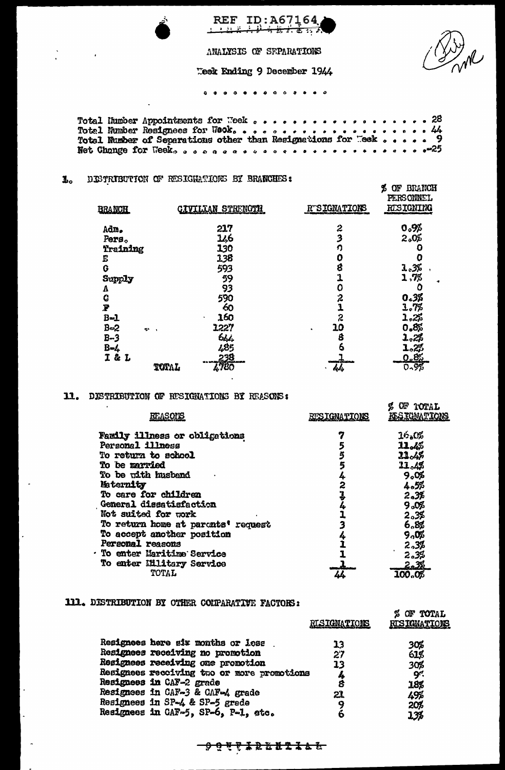

ANALYSIS OF SEPARATIONS Teek Ending 9 December 1944

REF ID:A67164

. . . . **. .** . . . . . . .

 $.28$  $.44$ 9 

### $\mathbf{I}_\circ$ DISTRIBUTION OF RESIGNATIONS BY BRANCHES:

| <b>BRANCH</b> | <b>CIVILIAN STRENGTH</b> | <b>RTSIGNATIONS</b> | <b>BRANCH</b><br>OF<br>B<br>PERSONNEL<br>RESIGNING |
|---------------|--------------------------|---------------------|----------------------------------------------------|
| Adm.          | 217                      | 2                   | 0.9%                                               |
| Pers.         | 146                      | 3                   | 2.0%                                               |
| Training      | 130                      | ŋ                   |                                                    |
| Е             | 138                      | 0                   | 0                                                  |
| Ġ             | 593                      | 8                   | 1.3%                                               |
| Supply        | 59                       | 1                   | 1,7%                                               |
| V             | 93                       | 0                   | ٥                                                  |
| Ġ             | 590                      | $\boldsymbol{z}$    | 0.38                                               |
| P             | 60                       | 1                   | 1.7%                                               |
| $B = 1$       | 160<br>٠                 | 2                   | 1.25                                               |
| $B=2$<br>e.   | 1227                     | 10                  | 0.8%                                               |
| $B-3$         | 644                      | Ŝ                   | 1.2%                                               |
| $B - 4$       | زاذي                     | 6                   | 1.25                                               |
| I & L         | 238                      |                     | 0.85                                               |
|               | <b>IT80</b><br>TOTAL     | 44                  | 0.9%                                               |

## 11. DISTRIBUTION OF RESIGNATIONS BY REASONS:

| REASONS                              | <b>RUSIGNATIONS</b> | OF TOTAL<br><u>ke sjonaltjons</u> |
|--------------------------------------|---------------------|-----------------------------------|
| <b>Family illness or obligations</b> |                     | 16.0%                             |
| Personal illness                     |                     | 11.4%                             |
| To return to school                  |                     | 21.4%                             |
| To be married                        | 5                   | 11.43                             |
| To be with husband                   |                     | ୨.୦%                              |
| Maternity                            | 2                   | 4.5%                              |
| To care for children                 |                     | 2.3%                              |
| General dissatisfaction              |                     | 9.0%                              |
| Not suited for work                  |                     | 2.3%                              |
| To return home at paronts' request   |                     | 6.8%                              |
| To accept another position           |                     | 9.0%                              |
| Personal reasons                     |                     | 2.3%                              |
| <b>To enter Maritime Service</b>     |                     | 2.35                              |
| To enter Illitary Service            |                     | <u>2.3%</u>                       |
| TOTAL                                | 46                  | 100.08                            |

# 111. DISTRIBUTION BY OTHER COLPARATIVE FACTORS:

|                                            | <b>RISIGNATIONS</b> | OF TOTAL<br>%<br><b>RUSIGNATIONS</b> |
|--------------------------------------------|---------------------|--------------------------------------|
| Resignees here six months or less          | 13                  | 30%                                  |
| Resignees receiving no promotion           | 27                  | 61%                                  |
| Resignees receiving one promotion          | 13                  | 30%                                  |
| Resignees receiving two or more promotions | 4                   | بہو.                                 |
| Resignees in CAF-2 grade                   | 8                   | 18%                                  |
| Resignees in CAF-3 & CAF-4 grade           | 21                  | 49%                                  |
| Resignees in SP-4 & SP-5 grade             |                     | 20 <sub>b</sub>                      |
| Resignees in CAF-5, SP-6, P-1, stc.        |                     | 13%                                  |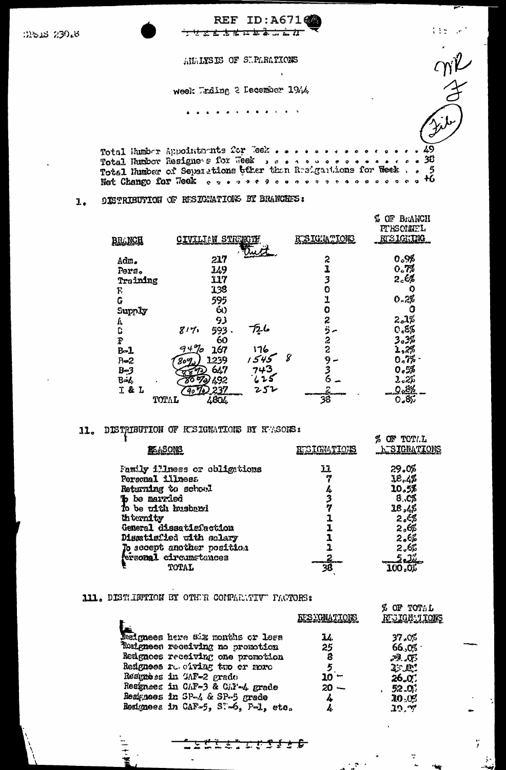| ාතය 230.8 | <b>REF ID: A67162</b>                                                                                                                                                                                                 | <b>Transport</b> |
|-----------|-----------------------------------------------------------------------------------------------------------------------------------------------------------------------------------------------------------------------|------------------|
|           | AUALYSIS OF SUPARATIONS                                                                                                                                                                                               |                  |
|           | week Urding 2 December 1944                                                                                                                                                                                           |                  |
|           |                                                                                                                                                                                                                       |                  |
|           | Total Humber Appointments for Teek 49<br>Total Humber Resignets for Week neared as a concert of 36<br>Total Humber of Separations tther than Resignations for Week 5<br>Not Change for Heek cypressencesses cooperate |                  |

### **OISTRIBUTION OF RESIGNATIONS BY BRANCHES:**  $\mathbf{L}$ .

| <b>BRANCH</b>          | <u>CIVILIAN STRINGTH</u> |        | RESIGNATIONS | $\frac{1}{4}$<br>BriANCH<br>ΩĿ<br><b>PTESCHMEL</b><br><u>ntsightng</u> |
|------------------------|--------------------------|--------|--------------|------------------------------------------------------------------------|
|                        |                          |        |              |                                                                        |
| Adm.                   | 217                      |        | 2            | 0.98                                                                   |
| Pers.                  | 149                      |        | Ï            | 0.7%                                                                   |
| Training               | 117                      |        | 3            | 2 <sub>c</sub>                                                         |
| F,                     | 138                      |        | Ō            | ю                                                                      |
| G                      | 595                      |        | 1            | 0.28                                                                   |
| Supply                 | 60                       |        | 0            |                                                                        |
| Ŀ,                     | 93                       |        | 2            | 2.1%                                                                   |
| Ċ                      | 817.<br>593              | 726    | ö            | 0.89                                                                   |
| $\boldsymbol{\hat{x}}$ | 60                       |        | S            | 3ء3                                                                    |
| $B-1$                  | $94\%$<br>167            | 176    | 2            | 1,2%                                                                   |
| $R = 2$                | 1239<br>809.,            | كى 7 ئ | 8<br>9       | 0.75                                                                   |
| $B-3$                  | 647                      | 743    | 3            | 0.5%                                                                   |
| $B - L$                | 492<br>8õ<br>970.        |        |              | 2.25                                                                   |
| I & L                  | 237<br>$90\%$            | 252    |              |                                                                        |
| TOTAL                  | 4804                     |        | 38           | ್ಮಕ್ಕ                                                                  |

# 11. DISTRIBUTION OF RESIGNATIONS BY REASONS:

| 瓩ASONS                        | <b>ETGIGNATIONS</b> | OF TOTAL<br><u>h SIGNATIONS</u> |
|-------------------------------|---------------------|---------------------------------|
| Family illness or obligations | 11                  | 29.0%                           |
| Personal illness              | 61                  | 18,4%                           |
| Returning to school           |                     | 10.5%                           |
| b be married                  |                     | 8.0%                            |
| To be with husband            | 17                  | 18,45                           |
| th ternity                    |                     | 2.68                            |
| General dissetiafaction       |                     | 2,6\$                           |
| Disatisfied with solary       |                     | 2.6%                            |
| To sccept another position    |                     | 2.65                            |
| fersonal circumstances        |                     | -22                             |
| <b>TOTAL</b>                  |                     |                                 |

# 111. DISTURBUTION BY OTHER CONPARETIVE PACTORS:

|                                     |                     | <b>% OF TOTAL</b>   |
|-------------------------------------|---------------------|---------------------|
|                                     | <u>FFSXGNATIONS</u> | <b>RUSIGNATIONS</b> |
| Jesignees here six months or less   | LL.                 | 37.0%               |
|                                     |                     |                     |
| Ruingneen receiving no promotion    | 25                  | 66.05               |
| Redgnees receiving one promotion    | 8                   | بهجوا والأهم        |
| Redgness roughing two or noro       |                     | <b>2: 02:</b>       |
| Restrèss in SAF-2 grade             | – 10                | 26.0                |
| Resignees in CAF-3 & CAY-4 grade    | $20 -$              | 52.0                |
| Resignees in SP-4 & SP-5 grade      | 4                   | $30 - 0.5$          |
| Resignees in CAF-5, ST-6, P-1, etc. |                     | 10. W               |

<u> 1412.2436</u>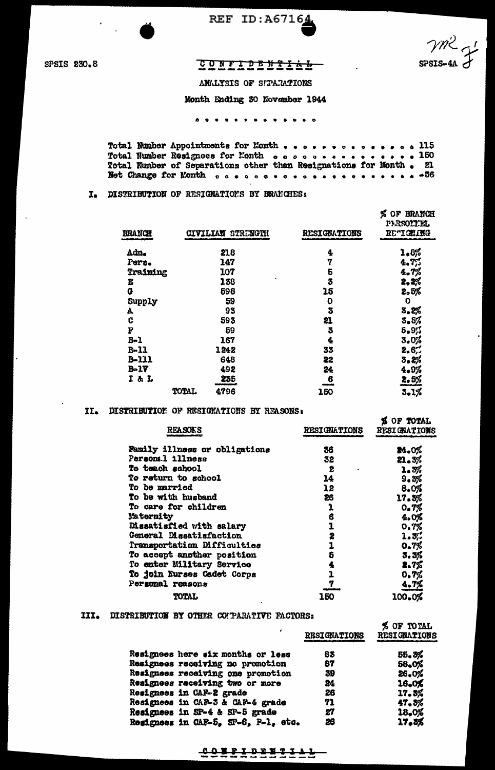

SPSIS 230.8

# CONFIDENTIAL-

vm2

 $SPS=4A$ 

ANALYSIS OF STPARATIONS

Month Ending 30 November 1944

Total Number Appointments for Month . . . . . . . . . . . . . 115<br>Total Number Resignees for Month . . . . . . . . . . . . . . 150 Total Number of Separations other than Resignations for Month. 21 

## I. DISTRIBUTION OF RESIGNATIONS BY BRANCHES:

| <b>BRANCH</b> |       | STRENGTH<br><b>CIVILIAN</b> | <b>RESIGNATIONS</b> | % OF BRANCH<br>PRSONIEL<br><b>DECIGEING</b> |
|---------------|-------|-----------------------------|---------------------|---------------------------------------------|
| Adm.          |       | 218                         | 4                   | 1.8%                                        |
| Pers.         |       | 147                         | 7                   | 4.7%                                        |
|               |       |                             |                     |                                             |
| Training      |       | 107                         | 5                   | 4.7%                                        |
| E             |       | 138                         | 3                   | 2,2%                                        |
| $\mathbf{G}$  |       | 598                         | 15                  | 2.5%                                        |
| Supply        |       | 59                          | o                   | $\mathbf 0$                                 |
| A             |       | 93                          | 3                   | <b>8.2%</b>                                 |
| C             |       | 593                         | 21                  | 3.5%                                        |
| F             |       | 59                          | 3                   | $5 - 97$                                    |
| $B-1$         |       | 167                         | 4                   | 3.0%                                        |
| $B-11$        |       | 1242                        | 33                  | 2.67                                        |
| $B-111$       |       | 648                         | 22                  | 3.2%                                        |
| $B - 17$      |       | 492                         | 24                  | 4.9%                                        |
| I & L         |       | 235                         | 6                   | 2.5%                                        |
|               | TOTAL | 4796                        | 150                 | 3.1%                                        |

## II. DISTRIBUTION OF RESIGNATIONS BY REASONS:

| <b>REASONS</b>                | <b>RESIGNATIONS</b> | <b>% OF TOTAL</b><br><b>RESIGNATIONS</b> |
|-------------------------------|---------------------|------------------------------------------|
| Family illness or obligations | 36                  | 24.0%                                    |
| Personal illness              | 32                  | 21.3%                                    |
| <b>To teach school</b>        | 2                   | 1.3%                                     |
| To return to school           | 14                  | 9.3%                                     |
| To be married                 | 12                  | 8.0%                                     |
| <b>To be with husband</b>     | 26                  | 17.3%                                    |
| To care for children          | 1                   | 0.7%                                     |
| Maternity                     | 6                   | 4.0%                                     |
| Dissatisfied with salary      | ı                   | 0.7%                                     |
| General Dissatisfaction       | 2                   | 1.5.                                     |
| Transportation Difficulties   | 1                   | 0.7%                                     |
| To accept another position    | 6                   | 5.3%                                     |
| To enter Military Service     |                     | 2.7%                                     |
| To join Nurses Cadet Corps    | ı                   | 0.7%                                     |
| Personal reasons              | 7                   | <u>4.7%</u>                              |
| TOTAL                         | 150                 | 100.0%                                   |

## III. DISTRIBUTION BY OTHER CONPARATIVE FACTORS:

|                                     | <b>RESIGNATIONS</b> | % OF TOTAL<br><b>RESIGNATIONS</b> |
|-------------------------------------|---------------------|-----------------------------------|
| Resignees here six months or less   | 83                  | 55,3%                             |
| Resignees receiving no promotion    | 87                  | 58.0%                             |
| Resignees receiving one promotion   | 39                  | 26.0%                             |
| Resignees receiving two or more     | 24                  | 16,0%                             |
| Resignees in CAF-2 grade            | 26                  | 17.3%                             |
| Resignees in CAF-3 & CAF-4 grade    | 71                  | 47.5%                             |
| Resignees in SP-4 & SP-5 grade      | 27                  | 18,0%                             |
| Resignees in CAF-5, SP-6, P-1, etc. | 26                  | 17.3%                             |

# $\begin{array}{cccccccccccccc} C & C & E & E & I & D & E & E & I & I & I & I \\ \hline \end{array}$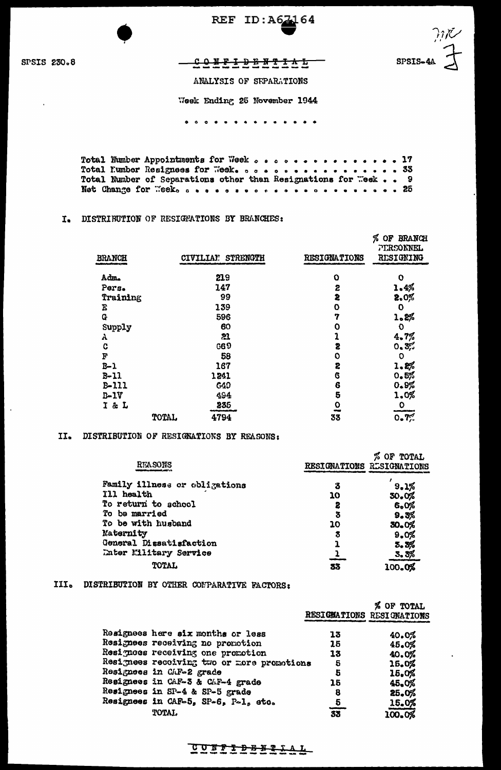REF ID: A67164

SPSIS 230.8

)<br>′ 1<br>′ 1 SPSIS-4A

 $Y$ </u>

ANALYSIS OF SEPARATIONS

Week Ending 25 November 1944

. . . **. . . . . . . . . . .** 

Total Number Appointments for Week  $\circ\circ\circ\circ\circ\circ\circ\circ\circ\circ\circ\circ\circ\circ\circ\circ\circ\cdot\circ\cdot\circ\cdot\cdot\cdot$ Net Change for Neek case of ore or a second was a second 25

## I. DISTRIBUTION OF RESIGNATIONS BY BRANCHES:

| <b>BRANCH</b> |       | CIVILIAN STRENGTH | <b>RESIGNATIONS</b> | Á.<br>OF BRANCH<br><b>PERSONNEL</b><br><b>RESIGNING</b> |
|---------------|-------|-------------------|---------------------|---------------------------------------------------------|
|               |       |                   |                     |                                                         |
| Adm.          |       | 219               | $\mathbf{o}$        | 0                                                       |
| Pers.         |       | 147               | 2                   | 1.4%                                                    |
| Training      |       | 99                | 2                   | 2.0%                                                    |
| E             |       | 139               | O                   | $\mathbf 0$                                             |
| Q             |       | 596               | 7                   | 1.2%                                                    |
| Supply        |       | 60                | 0                   | $\mathbf 0$                                             |
| Α             |       | 21                | 1                   | 4.7%                                                    |
| C             |       | G69               | S                   | 0.3%                                                    |
| F             |       | 58                | O                   | $\circ$                                                 |
| $B-1$         |       | 167               | 2                   | 1.8%                                                    |
| $B - 11$      |       | 1241              | 6                   | 0.5%                                                    |
| B-111         |       | G49               | 6                   | 0.9%                                                    |
| $D-1V$        |       | 494               | 5                   | 1.0%                                                    |
| I & L         |       | 235               | 0                   | $\circ$                                                 |
|               | TOTAL | 4794              | œ<br>33             | 0.7%                                                    |

## II. DISTRIBUTION OF RESIGNATIONS BY REASONS:

| <b>REASONS</b>                |    | OF<br><b>TOTAL</b><br>RESIGNATIONS RESIGNATIONS |
|-------------------------------|----|-------------------------------------------------|
| Family illness or obligations | 3  | 9.1%                                            |
| Ill health                    | 10 | 30.0%                                           |
| To return to school           | z  | 6.0%                                            |
| To be married                 | 3  | 9.3%                                            |
| To be with husband            | 10 | 30.0%                                           |
| Maternity                     | 3  | 9.0%                                            |
| General Dissatisfaction       |    | 5.3%                                            |
| <b>Enter Military Service</b> |    | 3.3%                                            |
| <b>TOTAL</b>                  | 33 | 100.0%                                          |

# III. DISTRIBUTION BY OTHER CONPARATIVE FACTORS:

| Resignees here six months or less<br>13<br>40.0%<br>Resignees receiving no promotion<br>15<br>45.0%<br>Resignoes receiving one promotion<br>13<br>40.0%<br>Resignees receiving two or more promotions<br>5<br>15.0%<br>Resignees in CAF-2 grade<br>5<br>15.0%<br>Resignees in CAF-3 & CAF-4 grade<br>15<br>45.0%<br>Resignees in SP-4 & SP-5 grade<br>25.0%<br>8<br>Resignees in CAF-5, SP-6, P-1, etc.<br>$\overline{e}$<br>15.0%<br><b>TOTAL</b><br>33 |  | RESIGNATIONS RESIGNATIONS | % OF TOTAL |
|----------------------------------------------------------------------------------------------------------------------------------------------------------------------------------------------------------------------------------------------------------------------------------------------------------------------------------------------------------------------------------------------------------------------------------------------------------|--|---------------------------|------------|
|                                                                                                                                                                                                                                                                                                                                                                                                                                                          |  |                           |            |
|                                                                                                                                                                                                                                                                                                                                                                                                                                                          |  |                           |            |
|                                                                                                                                                                                                                                                                                                                                                                                                                                                          |  |                           |            |
|                                                                                                                                                                                                                                                                                                                                                                                                                                                          |  |                           |            |
|                                                                                                                                                                                                                                                                                                                                                                                                                                                          |  |                           |            |
|                                                                                                                                                                                                                                                                                                                                                                                                                                                          |  |                           |            |
|                                                                                                                                                                                                                                                                                                                                                                                                                                                          |  |                           |            |
|                                                                                                                                                                                                                                                                                                                                                                                                                                                          |  |                           |            |
|                                                                                                                                                                                                                                                                                                                                                                                                                                                          |  |                           | 100.0%     |

<u>CONFIDBURIAL</u>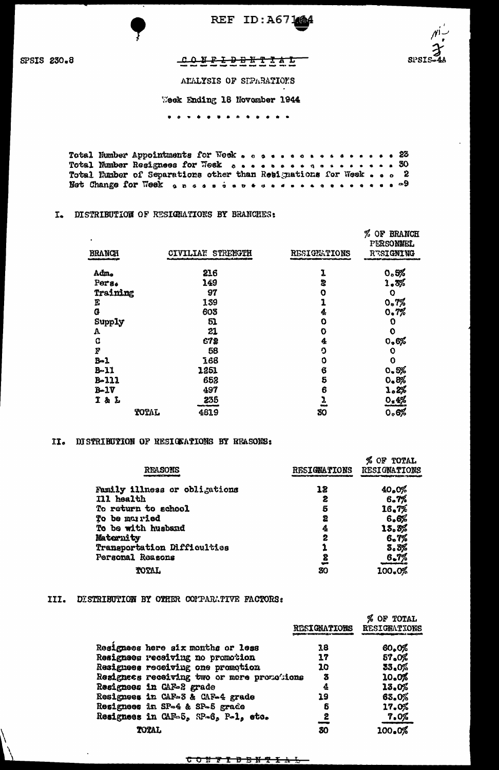

REF ID: A67164



SPSIS 230.8

## <del>COREIDBRITTE</del>

ATALYSIS OF SIPARATIONS

Week Ending 18 November 1944

. . . **. . .** . . . . . . .

Total Humber Appointments for Week . . . . . . . . . . . . . 23 Total Number Resignees for Wesk coopersections of the coopersistics. Total Eunber of Separations other than Resignations for Week . . . 2 

## I. DISTRIBUTION OF RESIGNATIONS BY BRANCHES:

| $\blacksquare$<br><b>BRANCH</b> |       | CIVILIAN STRENGTH | <b>RESIGNATIONS</b> | %<br>OF BRANCH<br>PERSONNEL<br>RESIGNING |
|---------------------------------|-------|-------------------|---------------------|------------------------------------------|
| Adm.                            |       | 216               | 1                   | 0.5%                                     |
| Pers.                           |       | 149               | 2                   | 1.3%                                     |
| Training                        |       | 97                | O                   | O                                        |
| F                               |       | 139               | 1                   | 0.7%                                     |
| G                               |       | 603               | 4                   | 0.7%                                     |
| Supply                          |       | 51                | ٥                   | 0                                        |
| A                               |       | 21                | O                   | $\mathbf 0$                              |
| C                               |       | 672               | 4                   | 0.6%                                     |
| F                               |       | 58                | ŋ                   | 0                                        |
| $B - 1$                         |       | 168               | O                   | $\mathbf 0$                              |
| $B-11$                          |       | 1251              | 6                   | 0.5%                                     |
| $B - 111$                       |       | 652               | 5                   | 0.8%                                     |
| $B-1V$                          |       | 497               | 6                   | 1.2%                                     |
| I & L                           |       | 235               | ı                   | 0.4%                                     |
|                                 | TOTAL | 4819              | <b>SMA</b><br>30    | 0.6%                                     |

### II. DISTRIBUTION OF RESIGEATIONS BY REASONS:

|                               |                     | % OF TOTAL          |
|-------------------------------|---------------------|---------------------|
| <b>REASONS</b>                | <b>RESIGNATIONS</b> | <b>RESIGNATIONS</b> |
|                               |                     |                     |
| Family illness or obligations | 18                  | 40.0%               |
| Ill health                    | г                   | 6.7%                |
| To return to school           | 5                   | 16.7%               |
| To be married                 | 2                   | 6.6%                |
| To be with husband            | 4                   | 13.3%               |
| Maternity                     | 2                   | 6.7%                |
| Transportation Difficulties   |                     | 3.3%                |
| Personal Reasons              | 2                   | 6.7%                |
| TOTAL                         | 30                  | 100.0%              |

## III. DISTRIBUTION BY OTHER COMPARATIVE FACTORS:

|                                            | <b>RESIGNATIONS</b> | % OF TOTAL<br><b>RESIGEATIONS</b> |
|--------------------------------------------|---------------------|-----------------------------------|
| Resignees here six months or less          | 18                  | 60.0%                             |
| Resignees receiving no promotion           | 17                  | 57.0%                             |
| Resignees receiving one promotion          | 10                  | 33.0%                             |
| Resignees receiving two or more promobions | 3                   | 10.0%                             |
| Resignees in CAF-2 grade                   | 4                   | 13.0%                             |
| Resignees in CAF-3 & CAF-4 grade           | 19                  | 63.0%                             |
| Resignees in SP-4 & SP-5 grade             | 5                   | 17.0%                             |
| Resignees in CAF-5, SP-6, P-1, etc.        | 2                   | 7.0%                              |
| <b>TOTAL</b>                               | 30                  | 100.0%                            |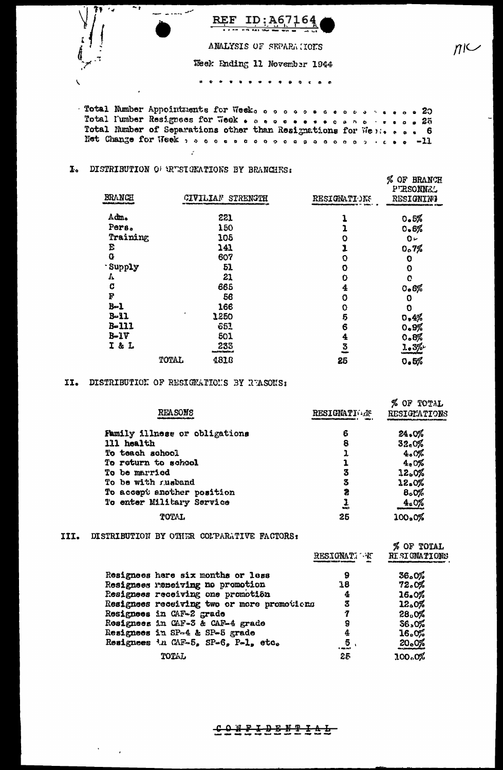| 79 S | ID:A67164<br>REF                  |
|------|-----------------------------------|
| â    | ANALYSIS OF SEPARA HOUS           |
|      | Week Ending 11 November 1944      |
|      | $\blacksquare$<br>.<br>$^{\circ}$ |

 $n \sim$ 

Total Number Appointments for Wesk coopecessors ..... Total Number of Separations other than Resignations for Well. . . . 6 Net Change for Week , a cose coopoogoooooooooooo -11

# I. DISTRIBUTION OF RESIGNATIONS BY BRANCHES:

 $\cdot$ 

| BRANCH   |       | CIVILIAN STRENGTH              | RESIGNATIONS | %<br><b>BRANCH</b><br>of<br>PTRSONNEL<br><b>RESIGNING</b> |
|----------|-------|--------------------------------|--------------|-----------------------------------------------------------|
| Adm.     |       | 221                            |              | 0.5%                                                      |
| Pers.    |       | 150                            |              | 0.6%                                                      |
| Training |       | 105                            | O            | $0 -$                                                     |
| E        |       | 141                            | J            | 0.7%                                                      |
| G        |       | 607                            | O            | 0                                                         |
| Supply   |       | 51                             | 0            | O                                                         |
| Δ.       |       | 21                             | O            | O                                                         |
| c        |       | 665                            | 4            | 0.6%                                                      |
| F        |       | 56                             | 0            | 0                                                         |
| $B - 1$  |       | 166                            | 0            | 0                                                         |
| $B - 11$ |       | 1250                           | 5            | 0.4%                                                      |
| B-111    |       | 663                            | 6            | 0.9%                                                      |
| $B-1V$   |       | 501                            | 4            | 0.8%                                                      |
| I & L    |       | 233<br><b>Artist Bandierus</b> | 3            | 1.3%                                                      |
|          | TOTAL | 4818                           | 25           | 0.5%                                                      |

# II. DISTRIBUTION OF RESIGNATIONS BY RUASONS:

| <b>REASONS</b>                | <b>RESIGNATIONS</b> | TOTAL<br>ОF<br>RESIGNATIONS |
|-------------------------------|---------------------|-----------------------------|
| Family illness or obligations | 6                   | 24.0%                       |
| 111 health                    | 8                   | $32 - 0%$                   |
| To teach school               | 1                   | 4.0%                        |
| To return to school           |                     | 4.0%                        |
| To be married                 | 3                   | 12.0%                       |
| To be with rusband            | 3                   | 22.0%                       |
| To accept another position    | 2                   | 8.0%                        |
| To enter Military Service     | 55.00               | 4.0%                        |
| <b>TOTAL</b>                  | 25                  | 100.0%                      |

## III. DISTRIBUTION BY OTHER COLPARATIVE FACTORS:

 $\mathbf{v} = \mathbf{v}$  .  $\mathbf{r}$ 

|                                            | <b>RESIGNATI W.</b> | % OF TOTAL<br>RISIGMATIONS |
|--------------------------------------------|---------------------|----------------------------|
| Resignees here six months or less          | 9                   | 36.0%                      |
| Resignees remeiving no promotion           | 18                  | 72.0%                      |
| Resignees receiving one promotión          | 4                   | 16.0%                      |
| Resignees receiving two or more promotions | 3                   | 12.0%                      |
| Resignees in CAF-2 grade                   | 7                   | 28.0%                      |
| Resignees in CAF-3 & CAF-4 grade           | 9                   | 36,0%                      |
| Resignees in SP-4 & SP-5 grade             | 4                   | 16.0%                      |
| Resignees in CAF-5, SP-6, P-1, etc.        | 5<br><b>Comment</b> | 20.0%                      |
| <b>TOTAL</b>                               | 25                  | 300.0%                     |